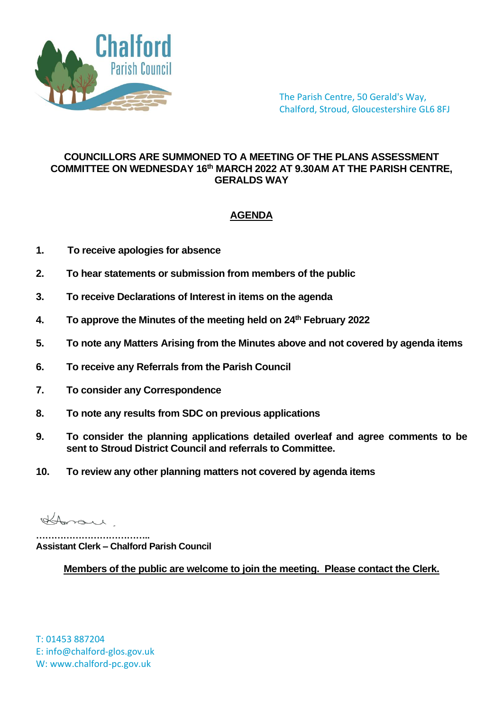

The Parish Centre, 50 Gerald's Way, Chalford, Stroud, Gloucestershire GL6 8FJ

## **COUNCILLORS ARE SUMMONED TO A MEETING OF THE PLANS ASSESSMENT COMMITTEE ON WEDNESDAY 16th MARCH 2022 AT 9.30AM AT THE PARISH CENTRE, GERALDS WAY**

## **AGENDA**

- **1. To receive apologies for absence**
- **2. To hear statements or submission from members of the public**
- **3. To receive Declarations of Interest in items on the agenda**
- **4. To approve the Minutes of the meeting held on 24th February 2022**
- **5. To note any Matters Arising from the Minutes above and not covered by agenda items**
- **6. To receive any Referrals from the Parish Council**
- **7. To consider any Correspondence**
- **8. To note any results from SDC on previous applications**
- **9. To consider the planning applications detailed overleaf and agree comments to be sent to Stroud District Council and referrals to Committee.**
- **10. To review any other planning matters not covered by agenda items**

Horan

**……………………………….. Assistant Clerk – Chalford Parish Council**

**Members of the public are welcome to join the meeting. Please contact the Clerk.**

T: 01453 887204 E: info@chalford-glos.gov.uk W: www.chalford-pc.gov.uk